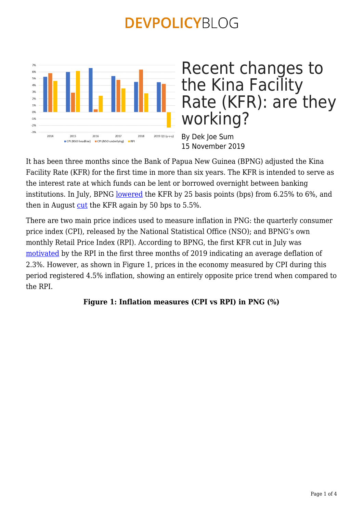

Recent changes to the Kina Facility Rate (KFR): are they working?

By Dek Joe Sum 15 November 2019

It has been three months since the Bank of Papua New Guinea (BPNG) adjusted the Kina Facility Rate (KFR) for the first time in more than six years. The KFR is intended to serve as the interest rate at which funds can be lent or borrowed overnight between banking institutions. In July, BPNG [lowered](https://www.bankpng.gov.pg/kfr-rates/) the KFR by 25 basis points (bps) from 6.25% to 6%, and then in August  $cut$  the KFR again by 50 bps to 5.5%.

There are two main price indices used to measure inflation in PNG: the quarterly consumer price index (CPI), released by the National Statistical Office (NSO); and BPNG's own monthly Retail Price Index (RPI). According to BPNG, the first KFR cut in July was [motivated](https://www.businessadvantagepng.com/wp-content/uploads/2019/07/Papua-New-Guinea-July_Monetary_Easing_Likely_A_OneOff_For_2019-Fitch-Solutions-19-July-2019.pdf) by the RPI in the first three months of 2019 indicating an average deflation of 2.3%. However, as shown in Figure 1, prices in the economy measured by CPI during this period registered 4.5% inflation, showing an entirely opposite price trend when compared to the RPI.

### **Figure 1: Inflation measures (CPI vs RPI) in PNG (%)**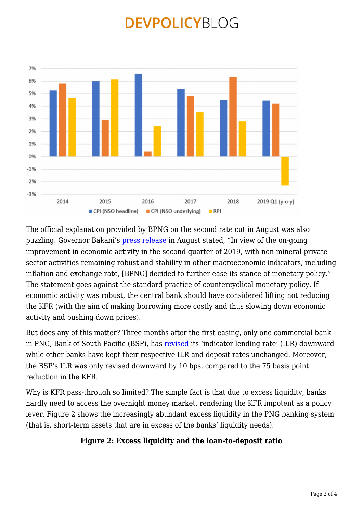

The official explanation provided by BPNG on the second rate cut in August was also puzzling. Governor Bakani's [press release](https://www.bankpng.gov.pg/wp-content/uploads/2019/08/August-2019-KFRPress2.pdf) in August stated, "In view of the on-going improvement in economic activity in the second quarter of 2019, with non-mineral private sector activities remaining robust and stability in other macroeconomic indicators, including inflation and exchange rate, [BPNG] decided to further ease its stance of monetary policy." The statement goes against the standard practice of countercyclical monetary policy. If economic activity was robust, the central bank should have considered lifting not reducing the KFR (with the aim of making borrowing more costly and thus slowing down economic activity and pushing down prices).

But does any of this matter? Three months after the first easing, only one commercial bank in PNG, Bank of South Pacific (BSP), has [revised](http://www.bsp.com.pg/About-Us/Rates--Fees/Interest-Rates/Business-Interest-Rates.aspx) its 'indicator lending rate' (ILR) downward while other banks have kept their respective ILR and deposit rates unchanged. Moreover, the BSP's ILR was only revised downward by 10 bps, compared to the 75 basis point reduction in the KFR.

Why is KFR pass-through so limited? The simple fact is that due to excess liquidity, banks hardly need to access the overnight money market, rendering the KFR impotent as a policy lever. Figure 2 shows the increasingly abundant excess liquidity in the PNG banking system (that is, short-term assets that are in excess of the banks' liquidity needs).

### **Figure 2: Excess liquidity and the loan-to-deposit ratio**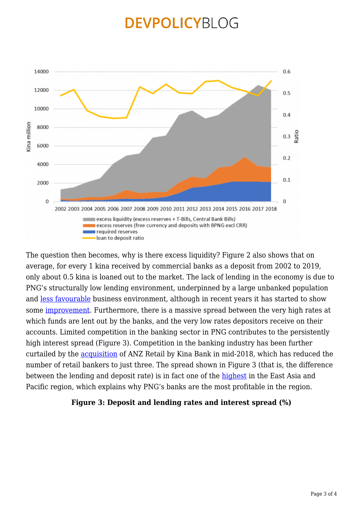

The question then becomes, why is there excess liquidity? Figure 2 also shows that on average, for every 1 kina received by commercial banks as a deposit from 2002 to 2019, only about 0.5 kina is loaned out to the market. The lack of lending in the economy is due to PNG's structurally low lending environment, underpinned by a large unbanked population and [less favourable](https://tradingeconomics.com/papua-new-guinea/ease-of-doing-business) business environment, although in recent years it has started to show some [improvement](https://www.thenational.com.pg/good-but-not-good-enough-png/). Furthermore, there is a massive spread between the very high rates at which funds are lent out by the banks, and the very low rates depositors receive on their accounts. Limited competition in the banking sector in PNG contributes to the persistently high interest spread (Figure 3). Competition in the banking industry has been further curtailed by the [acquisition](https://media.anz.com/posts/2019/09/important-information-for-anz-png-customers) of ANZ Retail by Kina Bank in mid-2018, which has reduced the number of retail bankers to just three. The spread shown in Figure 3 (that is, the difference between the lending and deposit rate) is in fact one of the [highest](https://onlinelibrary.wiley.com/doi/full/10.1002/app5.287) in the East Asia and Pacific region, which explains why PNG's banks are the most profitable in the region.

#### **Figure 3: Deposit and lending rates and interest spread (%)**